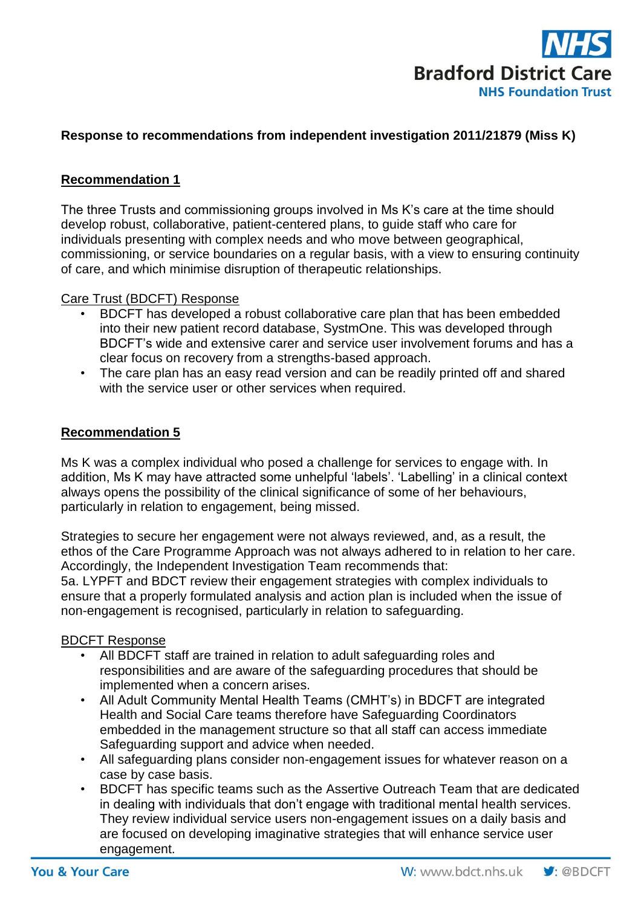

# **Response to recommendations from independent investigation 2011/21879 (Miss K)**

### **Recommendation 1**

The three Trusts and commissioning groups involved in Ms K's care at the time should develop robust, collaborative, patient-centered plans, to guide staff who care for individuals presenting with complex needs and who move between geographical, commissioning, or service boundaries on a regular basis, with a view to ensuring continuity of care, and which minimise disruption of therapeutic relationships.

#### Care Trust (BDCFT) Response

- BDCFT has developed a robust collaborative care plan that has been embedded into their new patient record database, SystmOne. This was developed through BDCFT's wide and extensive carer and service user involvement forums and has a clear focus on recovery from a strengths-based approach.
- The care plan has an easy read version and can be readily printed off and shared with the service user or other services when required.

#### **Recommendation 5**

Ms K was a complex individual who posed a challenge for services to engage with. In addition, Ms K may have attracted some unhelpful 'labels'. 'Labelling' in a clinical context always opens the possibility of the clinical significance of some of her behaviours, particularly in relation to engagement, being missed.

Strategies to secure her engagement were not always reviewed, and, as a result, the ethos of the Care Programme Approach was not always adhered to in relation to her care. Accordingly, the Independent Investigation Team recommends that:

5a. LYPFT and BDCT review their engagement strategies with complex individuals to ensure that a properly formulated analysis and action plan is included when the issue of non-engagement is recognised, particularly in relation to safeguarding.

#### BDCFT Response

- All BDCFT staff are trained in relation to adult safeguarding roles and responsibilities and are aware of the safeguarding procedures that should be implemented when a concern arises.
- All Adult Community Mental Health Teams (CMHT's) in BDCFT are integrated Health and Social Care teams therefore have Safeguarding Coordinators embedded in the management structure so that all staff can access immediate Safeguarding support and advice when needed.
- All safeguarding plans consider non-engagement issues for whatever reason on a case by case basis.
- BDCFT has specific teams such as the Assertive Outreach Team that are dedicated in dealing with individuals that don't engage with traditional mental health services. They review individual service users non-engagement issues on a daily basis and are focused on developing imaginative strategies that will enhance service user engagement.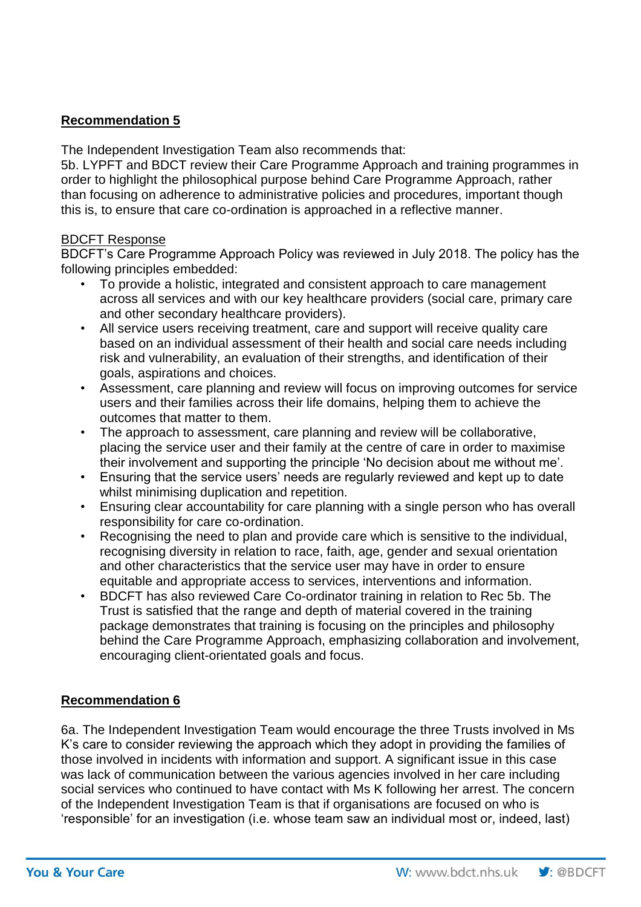# **Recommendation 5**

The Independent Investigation Team also recommends that:

5b. LYPFT and BDCT review their Care Programme Approach and training programmes in order to highlight the philosophical purpose behind Care Programme Approach, rather than focusing on adherence to administrative policies and procedures, important though this is, to ensure that care co-ordination is approached in a reflective manner.

#### BDCFT Response

BDCFT's Care Programme Approach Policy was reviewed in July 2018. The policy has the following principles embedded:

- To provide a holistic, integrated and consistent approach to care management across all services and with our key healthcare providers (social care, primary care and other secondary healthcare providers).
- All service users receiving treatment, care and support will receive quality care based on an individual assessment of their health and social care needs including risk and vulnerability, an evaluation of their strengths, and identification of their goals, aspirations and choices.
- Assessment, care planning and review will focus on improving outcomes for service users and their families across their life domains, helping them to achieve the outcomes that matter to them.
- The approach to assessment, care planning and review will be collaborative, placing the service user and their family at the centre of care in order to maximise their involvement and supporting the principle 'No decision about me without me'.
- Ensuring that the service users' needs are regularly reviewed and kept up to date whilst minimising duplication and repetition.
- Ensuring clear accountability for care planning with a single person who has overall responsibility for care co-ordination.
- Recognising the need to plan and provide care which is sensitive to the individual, recognising diversity in relation to race, faith, age, gender and sexual orientation and other characteristics that the service user may have in order to ensure equitable and appropriate access to services, interventions and information.
- BDCFT has also reviewed Care Co-ordinator training in relation to Rec 5b. The Trust is satisfied that the range and depth of material covered in the training package demonstrates that training is focusing on the principles and philosophy behind the Care Programme Approach, emphasizing collaboration and involvement, encouraging client-orientated goals and focus.

## **Recommendation 6**

6a. The Independent Investigation Team would encourage the three Trusts involved in Ms K's care to consider reviewing the approach which they adopt in providing the families of those involved in incidents with information and support. A significant issue in this case was lack of communication between the various agencies involved in her care including social services who continued to have contact with Ms K following her arrest. The concern of the Independent Investigation Team is that if organisations are focused on who is 'responsible' for an investigation (i.e. whose team saw an individual most or, indeed, last)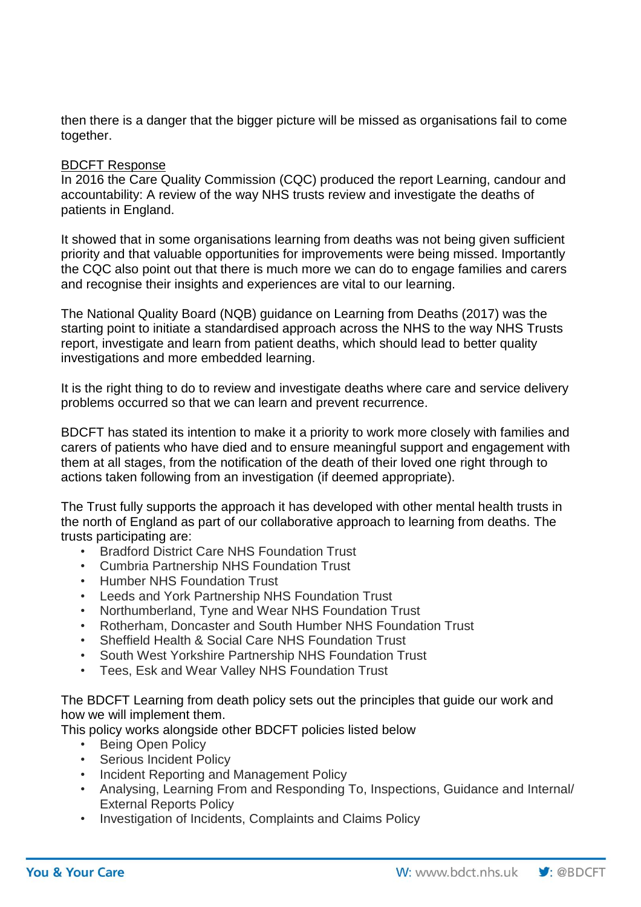then there is a danger that the bigger picture will be missed as organisations fail to come together.

### BDCFT Response

In 2016 the Care Quality Commission (CQC) produced the report Learning, candour and accountability: A review of the way NHS trusts review and investigate the deaths of patients in England.

It showed that in some organisations learning from deaths was not being given sufficient priority and that valuable opportunities for improvements were being missed. Importantly the CQC also point out that there is much more we can do to engage families and carers and recognise their insights and experiences are vital to our learning.

The National Quality Board (NQB) guidance on Learning from Deaths (2017) was the starting point to initiate a standardised approach across the NHS to the way NHS Trusts report, investigate and learn from patient deaths, which should lead to better quality investigations and more embedded learning.

It is the right thing to do to review and investigate deaths where care and service delivery problems occurred so that we can learn and prevent recurrence.

BDCFT has stated its intention to make it a priority to work more closely with families and carers of patients who have died and to ensure meaningful support and engagement with them at all stages, from the notification of the death of their loved one right through to actions taken following from an investigation (if deemed appropriate).

The Trust fully supports the approach it has developed with other mental health trusts in the north of England as part of our collaborative approach to learning from deaths. The trusts participating are:

- Bradford District Care NHS Foundation Trust
- Cumbria Partnership NHS Foundation Trust
- Humber NHS Foundation Trust
- Leeds and York Partnership NHS Foundation Trust
- Northumberland, Tyne and Wear NHS Foundation Trust
- Rotherham, Doncaster and South Humber NHS Foundation Trust
- Sheffield Health & Social Care NHS Foundation Trust
- South West Yorkshire Partnership NHS Foundation Trust
- Tees, Esk and Wear Valley NHS Foundation Trust

The BDCFT Learning from death policy sets out the principles that guide our work and how we will implement them.

This policy works alongside other BDCFT policies listed below

- Being Open Policy
- Serious Incident Policy
- Incident Reporting and Management Policy
- Analysing, Learning From and Responding To, Inspections, Guidance and Internal/ External Reports Policy
- Investigation of Incidents, Complaints and Claims Policy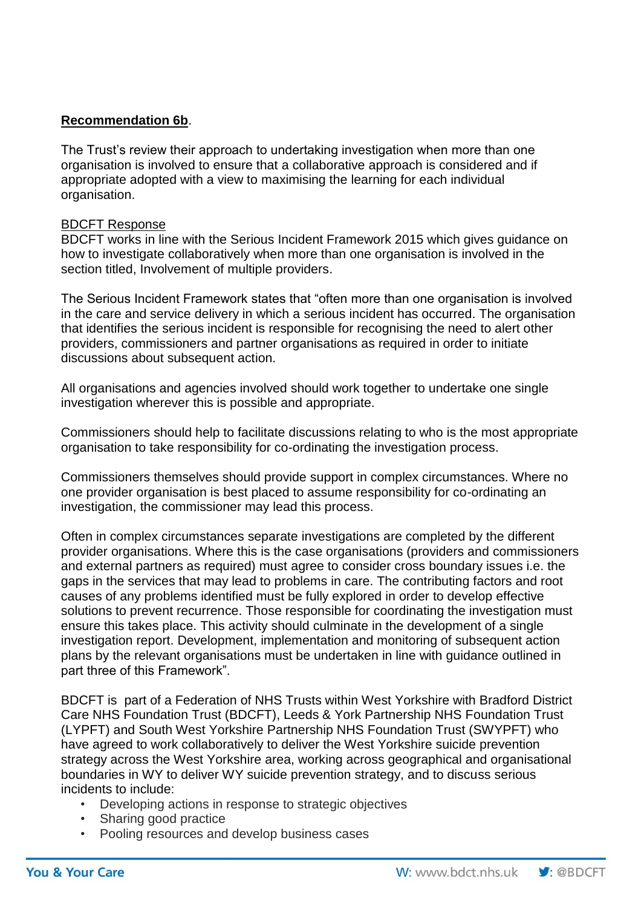## **Recommendation 6b**.

The Trust's review their approach to undertaking investigation when more than one organisation is involved to ensure that a collaborative approach is considered and if appropriate adopted with a view to maximising the learning for each individual organisation.

### BDCFT Response

BDCFT works in line with the Serious Incident Framework 2015 which gives guidance on how to investigate collaboratively when more than one organisation is involved in the section titled, Involvement of multiple providers.

The Serious Incident Framework states that "often more than one organisation is involved in the care and service delivery in which a serious incident has occurred. The organisation that identifies the serious incident is responsible for recognising the need to alert other providers, commissioners and partner organisations as required in order to initiate discussions about subsequent action.

All organisations and agencies involved should work together to undertake one single investigation wherever this is possible and appropriate.

Commissioners should help to facilitate discussions relating to who is the most appropriate organisation to take responsibility for co-ordinating the investigation process.

Commissioners themselves should provide support in complex circumstances. Where no one provider organisation is best placed to assume responsibility for co-ordinating an investigation, the commissioner may lead this process.

Often in complex circumstances separate investigations are completed by the different provider organisations. Where this is the case organisations (providers and commissioners and external partners as required) must agree to consider cross boundary issues i.e. the gaps in the services that may lead to problems in care. The contributing factors and root causes of any problems identified must be fully explored in order to develop effective solutions to prevent recurrence. Those responsible for coordinating the investigation must ensure this takes place. This activity should culminate in the development of a single investigation report. Development, implementation and monitoring of subsequent action plans by the relevant organisations must be undertaken in line with guidance outlined in part three of this Framework".

BDCFT is part of a Federation of NHS Trusts within West Yorkshire with Bradford District Care NHS Foundation Trust (BDCFT), Leeds & York Partnership NHS Foundation Trust (LYPFT) and South West Yorkshire Partnership NHS Foundation Trust (SWYPFT) who have agreed to work collaboratively to deliver the West Yorkshire suicide prevention strategy across the West Yorkshire area, working across geographical and organisational boundaries in WY to deliver WY suicide prevention strategy, and to discuss serious incidents to include:

- Developing actions in response to strategic objectives
- Sharing good practice
- Pooling resources and develop business cases